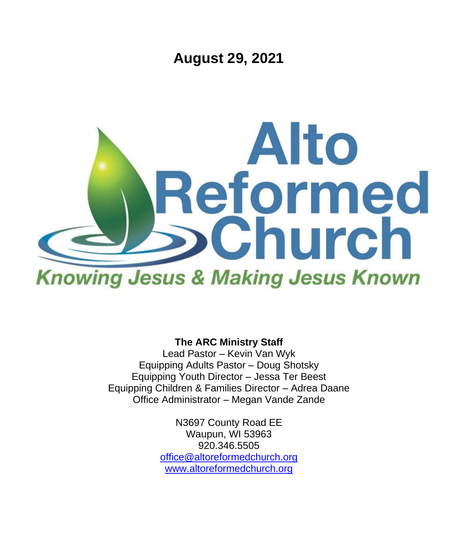**August 29, 2021**



**The ARC Ministry Staff**

Lead Pastor – Kevin Van Wyk Equipping Adults Pastor – Doug Shotsky Equipping Youth Director – Jessa Ter Beest Equipping Children & Families Director – Adrea Daane Office Administrator – Megan Vande Zande

> N3697 County Road EE Waupun, WI 53963 920.346.5505 [office@altoreformedchurch.org](mailto:office@altoreformedchurch.org) [www.altoreformedchurch.org](http://www.altoreformedchurch.org/)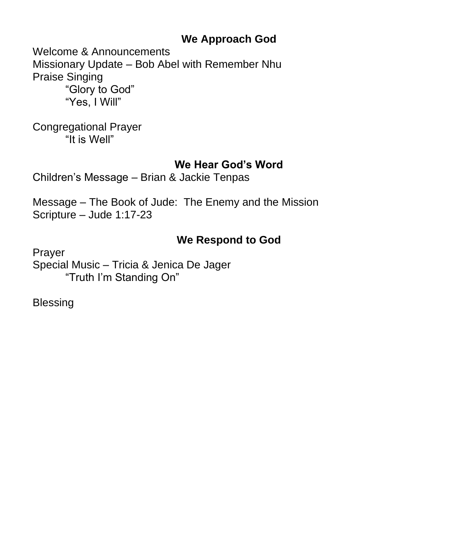## **We Approach God**

Welcome & Announcements Missionary Update – Bob Abel with Remember Nhu Praise Singing "Glory to God" "Yes, I Will"

Congregational Prayer "It is Well"

## **We Hear God's Word**

Children's Message – Brian & Jackie Tenpas

Message – The Book of Jude: The Enemy and the Mission Scripture – Jude 1:17-23

# **We Respond to God**

Prayer Special Music – Tricia & Jenica De Jager "Truth I'm Standing On"

Blessing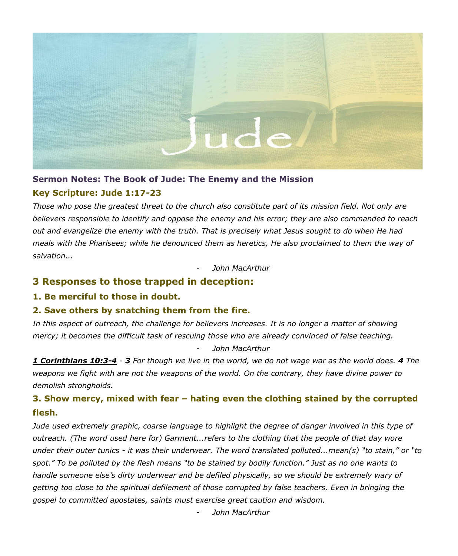

### **Sermon Notes: The Book of Jude: The Enemy and the Mission**

#### **Key Scripture: Jude 1:17-23**

Those who pose the greatest threat to the church also constitute part of its mission field. Not only are *believers responsible to identify and oppose the enemy and his error; they are also commanded to reach* out and evangelize the enemy with the truth. That is precisely what Jesus sought to do when He had meals with the Pharisees; while he denounced them as heretics, He also proclaimed to them the way of *salvation...*

- *John MacArthur*

### **3 Responses to those trapped in deception:**

**1. Be merciful to those in doubt.**

#### **2. Save others by snatching them from the fire.**

In this aspect of outreach, the challenge for believers increases. It is no longer a matter of showing *mercy; it becomes the difficult task of rescuing those who are already convinced of false teaching.* - *John MacArthur*

1 Corinthians 10:3-4 - 3 For though we live in the world, we do not wage war as the world does. 4 The weapons we fight with are not the weapons of the world. On the contrary, they have divine power to *demolish strongholds.*

## **3. Show mercy, mixed with fear – hating even the clothing stained by the corrupted flesh.**

*Jude used extremely graphic, coarse language to highlight the degree of danger involved in this type of outreach. (The word used here for) Garment...refers to the clothing that the people of that day wore* under their outer tunics - it was their underwear. The word translated polluted...mean(s) "to stain," or "to spot." To be polluted by the flesh means "to be stained by bodily function." Just as no one wants to *handle someone else's dirty underwear and be defiled physically, so we should be extremely wary of getting too close to the spiritual defilement of those corrupted by false teachers. Even in bringing the gospel to committed apostates, saints must exercise great caution and wisdom.*

- *John MacArthur*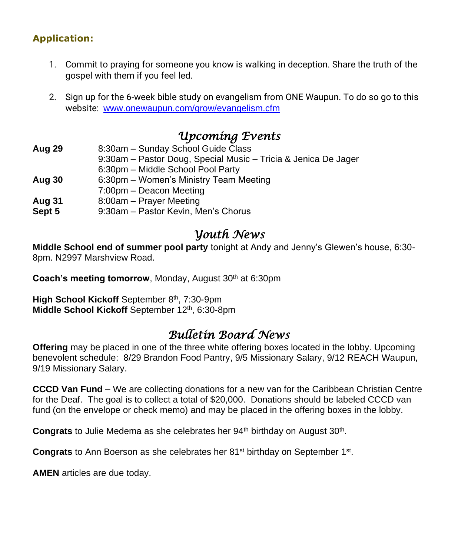## **Application:**

- 1. Commit to praying for someone you know is walking in deception. Share the truth of the gospel with them if you feel led.
- 2. Sign up for the 6-week bible study on evangelism from ONE Waupun. To do so go to this website: [www.onewaupun.com/grow/evangelism.cfm](http://www.onewaupun.com/grow/evangelism.cfm)

# *Upcoming Events*

| Aug 29 | 8:30am - Sunday School Guide Class                             |
|--------|----------------------------------------------------------------|
|        | 9:30am - Pastor Doug, Special Music - Tricia & Jenica De Jager |
|        | 6:30pm - Middle School Pool Party                              |
| Aug 30 | 6:30pm - Women's Ministry Team Meeting                         |
|        | 7:00pm - Deacon Meeting                                        |
| Aug 31 | 8:00am - Prayer Meeting                                        |
| Sept 5 | 9:30am - Pastor Kevin, Men's Chorus                            |
|        |                                                                |

# *Youth News*

**Middle School end of summer pool party** tonight at Andy and Jenny's Glewen's house, 6:30- 8pm. N2997 Marshview Road.

**Coach's meeting tomorrow**, Monday, August 30<sup>th</sup> at 6:30pm

High School Kickoff September 8<sup>th</sup>, 7:30-9pm Middle School Kickoff September 12<sup>th</sup>, 6:30-8pm

# *Bulletin Board News*

**Offering** may be placed in one of the three white offering boxes located in the lobby. Upcoming benevolent schedule: 8/29 Brandon Food Pantry, 9/5 Missionary Salary, 9/12 REACH Waupun, 9/19 Missionary Salary.

**CCCD Van Fund –** We are collecting donations for a new van for the Caribbean Christian Centre for the Deaf. The goal is to collect a total of \$20,000. Donations should be labeled CCCD van fund (on the envelope or check memo) and may be placed in the offering boxes in the lobby.

Congrats to Julie Medema as she celebrates her 94<sup>th</sup> birthday on August 30<sup>th</sup>.

Congrats to Ann Boerson as she celebrates her 81<sup>st</sup> birthday on September 1<sup>st</sup>.

**AMEN** articles are due today.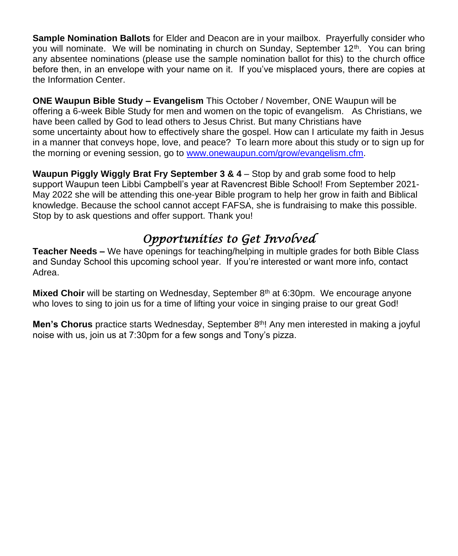**Sample Nomination Ballots** for Elder and Deacon are in your mailbox. Prayerfully consider who you will nominate. We will be nominating in church on Sunday, September 12<sup>th</sup>. You can bring any absentee nominations (please use the sample nomination ballot for this) to the church office before then, in an envelope with your name on it. If you've misplaced yours, there are copies at the Information Center.

**ONE Waupun Bible Study – Evangelism** This October / November, ONE Waupun will be offering a 6-week Bible Study for men and women on the topic of evangelism. As Christians, we have been called by God to lead others to Jesus Christ. But many Christians have some uncertainty about how to effectively share the gospel. How can I articulate my faith in Jesus in a manner that conveys hope, love, and peace? To learn more about this study or to sign up for the morning or evening session, go to [www.onewaupun.com/grow/evangelism.cfm.](https://na01.safelinks.protection.outlook.com/?url=https%3A%2F%2Fwww.google.com%2Furl%3Fq%3Dhttp%253A%252F%252Fwww.onewaupun.com%252Fgrow%252Fevangelism.cfm%26sa%3DD%26ust%3D1630160392492000%26usg%3DAOvVaw37qjuwSzTa9FTNT75-XNJX&data=04%7C01%7C%7C6d65ae26e6164956677608d9666537c9%7C84df9e7fe9f640afb435aaaaaaaaaaaa%7C1%7C0%7C637653407188679947%7CUnknown%7CTWFpbGZsb3d8eyJWIjoiMC4wLjAwMDAiLCJQIjoiV2luMzIiLCJBTiI6Ik1haWwiLCJXVCI6Mn0%3D%7C1000&sdata=16KcJO6S7mK6ORbqtnMJ9ubgWwmKhRfk7K4N2ty7rv8%3D&reserved=0)

**Waupun Piggly Wiggly Brat Fry September 3 & 4** – Stop by and grab some food to help support Waupun teen Libbi Campbell's year at Ravencrest Bible School! From September 2021- May 2022 she will be attending this one-year Bible program to help her grow in faith and Biblical knowledge. Because the school cannot accept FAFSA, she is fundraising to make this possible. Stop by to ask questions and offer support. Thank you!

# *Opportunities to Get Involved*

**Teacher Needs –** We have openings for teaching/helping in multiple grades for both Bible Class and Sunday School this upcoming school year. If you're interested or want more info, contact Adrea.

**Mixed Choir** will be starting on Wednesday, September 8<sup>th</sup> at 6:30pm. We encourage anyone who loves to sing to join us for a time of lifting your voice in singing praise to our great God!

**Men's Chorus** practice starts Wednesday, September 8<sup>th</sup>! Any men interested in making a joyful noise with us, join us at 7:30pm for a few songs and Tony's pizza.